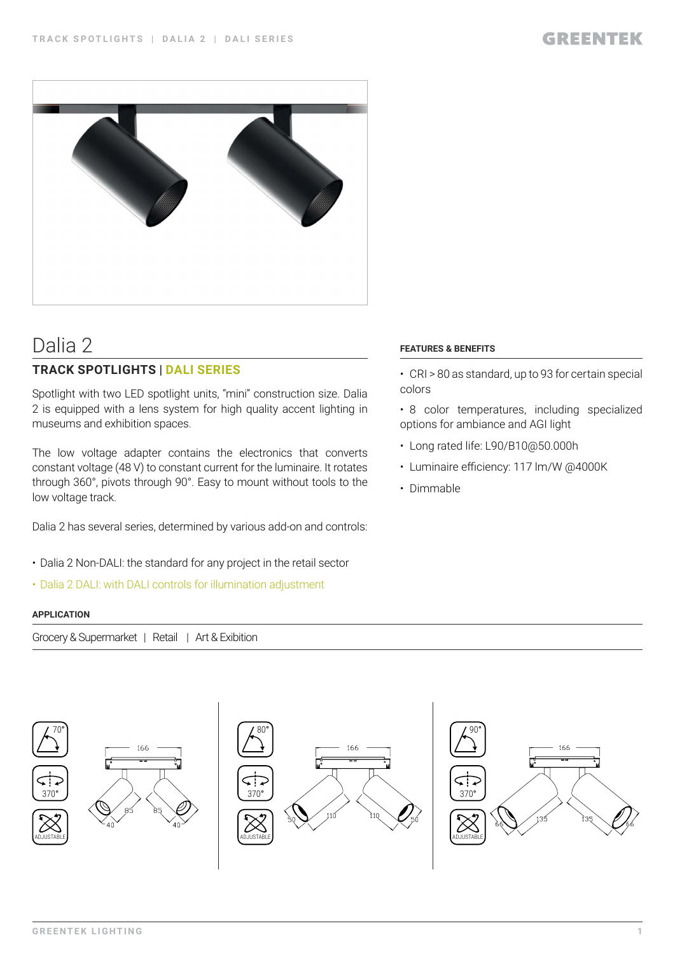

# Dalia 2

### **TRACK SPOTLIGHTS | DALI SERIES**

Spotlight with two LED spotlight units, "mini" construction size. Dalia 2 is equipped with a lens system for high quality accent lighting in museums and exhibition spaces.

The low voltage adapter contains the electronics that converts constant voltage (48 V) to constant current for the luminaire. It rotates through 360°, pivots through 90°. Easy to mount without tools to the low voltage track.

Dalia 2 has several series, determined by various add-on and controls:

- Dalia 2 Non-DALI: the standard for any project in the retail sector
- Dalia 2 DALI: with DALI controls for illumination adjustment

#### **APPLICATION**

Grocery & Supermarket | Retail | Art & Exibition



#### **FEATURES & BENEFITS**

- CRI > 80 as standard, up to 93 for certain special colors
- 8 color temperatures, including specialized options for ambiance and AGI light
- Long rated life: L90/B10@50.000h
- Luminaire efficiency: 117 lm/W @4000K
- Dimmable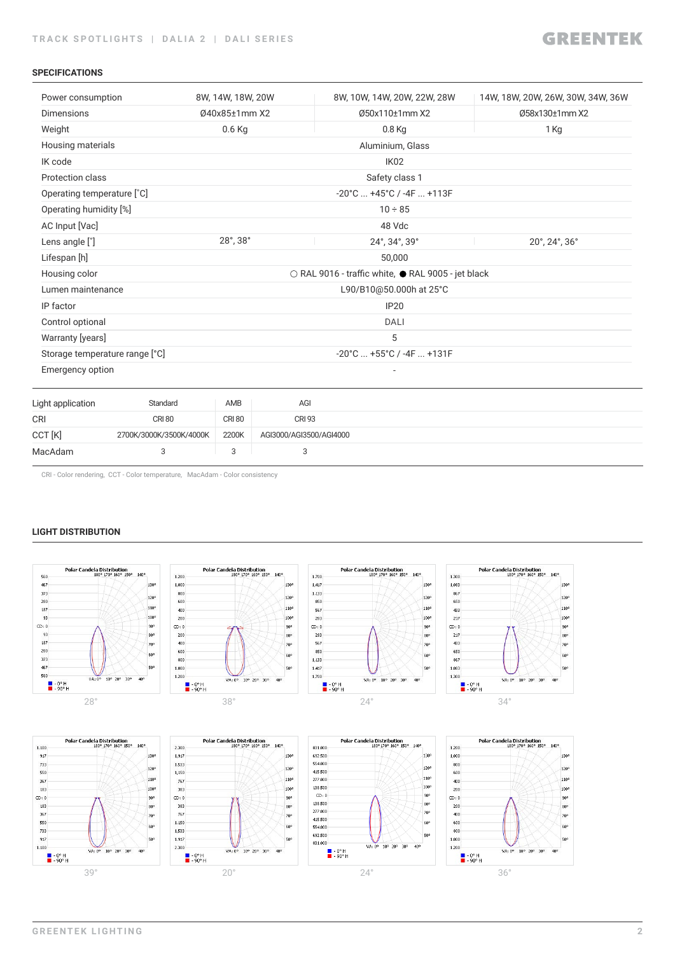#### **SPECIFICATIONS**

| Power consumption              |                         | 8W, 14W, 18W, 20W           |                         | 8W, 10W, 14W, 20W, 22W, 28W                        | 14W, 18W, 20W, 26W, 30W, 34W, 36W |
|--------------------------------|-------------------------|-----------------------------|-------------------------|----------------------------------------------------|-----------------------------------|
| <b>Dimensions</b>              |                         | 040x85±1mm X2               |                         | Ø50x110±1mm X2                                     | Ø58x130±1mm X2                    |
| Weight                         |                         | $0.6$ Kg                    |                         | 0.8 Kg                                             | 1 Kg                              |
| Housing materials              |                         |                             |                         | Aluminium, Glass                                   |                                   |
| IK code                        |                         |                             |                         | IK <sub>02</sub>                                   |                                   |
| Protection class               |                         |                             |                         | Safety class 1                                     |                                   |
| Operating temperature [°C]     |                         |                             |                         | $-20^{\circ}$ C $+45^{\circ}$ C / $-4F$ $+113F$    |                                   |
| Operating humidity [%]         |                         |                             |                         | $10 \div 85$                                       |                                   |
| AC Input [Vac]                 |                         |                             |                         | 48 Vdc                                             |                                   |
| Lens angle [°]                 |                         | $28^{\circ}$ , $38^{\circ}$ |                         | 24°, 34°, 39°                                      | 20°, 24°, 36°                     |
| Lifespan [h]                   |                         |                             |                         | 50,000                                             |                                   |
| Housing color                  |                         |                             |                         | ○ RAL 9016 - traffic white, ● RAL 9005 - jet black |                                   |
| Lumen maintenance              |                         |                             |                         | L90/B10@50.000h at 25°C                            |                                   |
| IP factor                      |                         |                             |                         | <b>IP20</b>                                        |                                   |
| Control optional               |                         |                             |                         | <b>DALI</b>                                        |                                   |
| Warranty [years]               |                         |                             |                         | 5                                                  |                                   |
| Storage temperature range [°C] |                         |                             |                         | $-20^{\circ}$ C $+55^{\circ}$ C / $-4F$ $+131F$    |                                   |
| <b>Emergency option</b>        |                         |                             |                         |                                                    |                                   |
| Light application              | Standard                | AMB                         | AGI                     |                                                    |                                   |
| <b>CRI</b>                     | <b>CRI 80</b>           | <b>CRI 80</b>               | <b>CRI 93</b>           |                                                    |                                   |
| CCT [K]                        | 2700K/3000K/3500K/4000K | 2200K                       | AGI3000/AGI3500/AGI4000 |                                                    |                                   |
| MacAdam                        | 3                       | 3                           | 3                       |                                                    |                                   |

CRI - Color rendering, CCT - Color temperature, MacAdam - Color consistency

#### **LIGHT DISTRIBUTION**

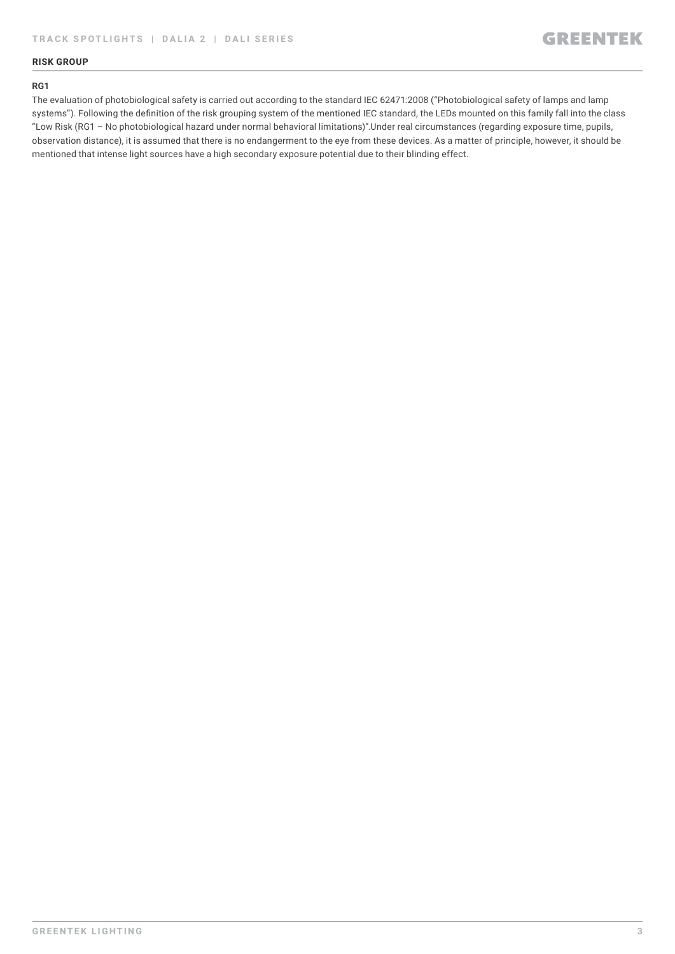#### **RISK GROUP**

#### **RG1**

The evaluation of photobiological safety is carried out according to the standard IEC 62471:2008 ("Photobiological safety of lamps and lamp systems"). Following the definition of the risk grouping system of the mentioned IEC standard, the LEDs mounted on this family fall into the class "Low Risk (RG1 – No photobiological hazard under normal behavioral limitations)".Under real circumstances (regarding exposure time, pupils, observation distance), it is assumed that there is no endangerment to the eye from these devices. As a matter of principle, however, it should be mentioned that intense light sources have a high secondary exposure potential due to their blinding effect.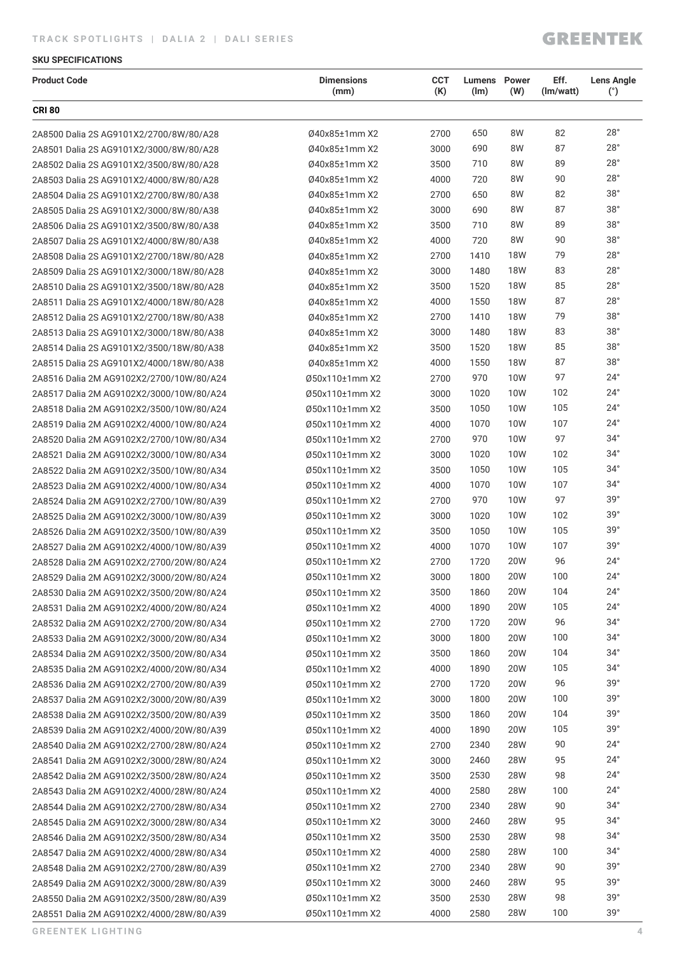#### **SKU SPECIFICATIONS**

| <b>Product Code</b>                      | <b>Dimensions</b><br>(mm) | <b>CCT</b><br>(K) | <b>Lumens</b> Power<br>(lm) | (W)        | Eff.<br>(Im/watt) | <b>Lens Angle</b><br>(°) |
|------------------------------------------|---------------------------|-------------------|-----------------------------|------------|-------------------|--------------------------|
| <b>CRI 80</b>                            |                           |                   |                             |            |                   |                          |
| 2A8500 Dalia 2S AG9101X2/2700/8W/80/A28  | Ø40x85±1mm X2             | 2700              | 650                         | 8W         | 82                | $28^\circ$               |
| 2A8501 Dalia 2S AG9101X2/3000/8W/80/A28  | Ø40x85±1mm X2             | 3000              | 690                         | 8W         | 87                | 28°                      |
| 2A8502 Dalia 2S AG9101X2/3500/8W/80/A28  | Ø40x85±1mm X2             | 3500              | 710                         | 8W         | 89                | $28^\circ$               |
| 2A8503 Dalia 2S AG9101X2/4000/8W/80/A28  | Ø40x85±1mm X2             | 4000              | 720                         | 8W         | 90                | 28°                      |
| 2A8504 Dalia 2S AG9101X2/2700/8W/80/A38  | Ø40x85±1mm X2             | 2700              | 650                         | 8W         | 82                | 38°                      |
| 2A8505 Dalia 2S AG9101X2/3000/8W/80/A38  | Ø40x85±1mm X2             | 3000              | 690                         | 8W         | 87                | 38°                      |
| 2A8506 Dalia 2S AG9101X2/3500/8W/80/A38  | Ø40x85±1mm X2             | 3500              | 710                         | 8W         | 89                | 38°                      |
| 2A8507 Dalia 2S AG9101X2/4000/8W/80/A38  | Ø40x85±1mm X2             | 4000              | 720                         | 8W         | 90                | 38°                      |
| 2A8508 Dalia 2S AG9101X2/2700/18W/80/A28 | Ø40x85±1mm X2             | 2700              | 1410                        | <b>18W</b> | 79                | $28^\circ$               |
| 2A8509 Dalia 2S AG9101X2/3000/18W/80/A28 | Ø40x85±1mm X2             | 3000              | 1480                        | <b>18W</b> | 83                | $28^\circ$               |
| 2A8510 Dalia 2S AG9101X2/3500/18W/80/A28 | Ø40x85±1mm X2             | 3500              | 1520                        | <b>18W</b> | 85                | $28^\circ$               |
| 2A8511 Dalia 2S AG9101X2/4000/18W/80/A28 | Ø40x85±1mm X2             | 4000              | 1550                        | <b>18W</b> | 87                | 28°                      |
| 2A8512 Dalia 2S AG9101X2/2700/18W/80/A38 | Ø40x85±1mm X2             | 2700              | 1410                        | <b>18W</b> | 79                | 38°                      |
| 2A8513 Dalia 2S AG9101X2/3000/18W/80/A38 | Ø40x85±1mm X2             | 3000              | 1480                        | <b>18W</b> | 83                | $38^\circ$               |
| 2A8514 Dalia 2S AG9101X2/3500/18W/80/A38 | Ø40x85±1mm X2             | 3500              | 1520                        | <b>18W</b> | 85                | 38°                      |
| 2A8515 Dalia 2S AG9101X2/4000/18W/80/A38 | Ø40x85±1mm X2             | 4000              | 1550                        | <b>18W</b> | 87                | 38°                      |
| 2A8516 Dalia 2M AG9102X2/2700/10W/80/A24 | Ø50x110±1mm X2            | 2700              | 970                         | <b>10W</b> | 97                | $24^{\circ}$             |
| 2A8517 Dalia 2M AG9102X2/3000/10W/80/A24 | Ø50x110±1mm X2            | 3000              | 1020                        | 10W        | 102               | $24^{\circ}$             |
| 2A8518 Dalia 2M AG9102X2/3500/10W/80/A24 | Ø50x110±1mm X2            | 3500              | 1050                        | 10W        | 105               | $24^{\circ}$             |
| 2A8519 Dalia 2M AG9102X2/4000/10W/80/A24 | Ø50x110±1mm X2            | 4000              | 1070                        | 10W        | 107               | $24^{\circ}$             |
| 2A8520 Dalia 2M AG9102X2/2700/10W/80/A34 | Ø50x110±1mm X2            | 2700              | 970                         | <b>10W</b> | 97                | $34^\circ$               |
| 2A8521 Dalia 2M AG9102X2/3000/10W/80/A34 | Ø50x110±1mm X2            | 3000              | 1020                        | 10W        | 102               | $34^\circ$               |
| 2A8522 Dalia 2M AG9102X2/3500/10W/80/A34 | Ø50x110±1mm X2            | 3500              | 1050                        | 10W        | 105               | $34^\circ$               |
| 2A8523 Dalia 2M AG9102X2/4000/10W/80/A34 | Ø50x110±1mm X2            | 4000              | 1070                        | 10W        | 107               | $34^\circ$               |
| 2A8524 Dalia 2M AG9102X2/2700/10W/80/A39 | Ø50x110±1mm X2            | 2700              | 970                         | <b>10W</b> | 97                | 39°                      |
| 2A8525 Dalia 2M AG9102X2/3000/10W/80/A39 | Ø50x110±1mm X2            | 3000              | 1020                        | 10W        | 102               | 39°                      |
| 2A8526 Dalia 2M AG9102X2/3500/10W/80/A39 | Ø50x110±1mm X2            | 3500              | 1050                        | 10W        | 105               | 39°                      |
| 2A8527 Dalia 2M AG9102X2/4000/10W/80/A39 | Ø50x110±1mm X2            | 4000              | 1070                        | 10W        | 107               | 39°                      |
| 2A8528 Dalia 2M AG9102X2/2700/20W/80/A24 | Ø50x110±1mm X2            | 2700              | 1720                        | <b>20W</b> | 96                | $24^{\circ}$             |
| 2A8529 Dalia 2M AG9102X2/3000/20W/80/A24 | Ø50x110±1mm X2            | 3000              | 1800                        | 20W        | 100               | $24^{\circ}$             |
| 2A8530 Dalia 2M AG9102X2/3500/20W/80/A24 | Ø50x110±1mm X2            | 3500              | 1860                        | 20W        | 104               | $24^{\circ}$             |
| 2A8531 Dalia 2M AG9102X2/4000/20W/80/A24 | Ø50x110±1mm X2            | 4000              | 1890                        | <b>20W</b> | 105               | $24^{\circ}$             |
| 2A8532 Dalia 2M AG9102X2/2700/20W/80/A34 | Ø50x110±1mm X2            | 2700              | 1720                        | 20W        | 96                | $34^\circ$               |
| 2A8533 Dalia 2M AG9102X2/3000/20W/80/A34 | Ø50x110±1mm X2            | 3000              | 1800                        | <b>20W</b> | 100               | $34^\circ$               |
| 2A8534 Dalia 2M AG9102X2/3500/20W/80/A34 | Ø50x110±1mm X2            | 3500              | 1860                        | 20W        | 104               | $34^\circ$               |
| 2A8535 Dalia 2M AG9102X2/4000/20W/80/A34 | Ø50x110±1mm X2            | 4000              | 1890                        | <b>20W</b> | 105               | $34^\circ$               |
| 2A8536 Dalia 2M AG9102X2/2700/20W/80/A39 | Ø50x110±1mm X2            | 2700              | 1720                        | <b>20W</b> | 96                | 39°                      |
| 2A8537 Dalia 2M AG9102X2/3000/20W/80/A39 | Ø50x110±1mm X2            | 3000              | 1800                        | <b>20W</b> | 100               | 39°                      |
| 2A8538 Dalia 2M AG9102X2/3500/20W/80/A39 | Ø50x110±1mm X2            | 3500              | 1860                        | <b>20W</b> | 104               | 39°                      |
| 2A8539 Dalia 2M AG9102X2/4000/20W/80/A39 | Ø50x110±1mm X2            | 4000              | 1890                        | <b>20W</b> | 105               | 39°                      |
| 2A8540 Dalia 2M AG9102X2/2700/28W/80/A24 | Ø50x110±1mm X2            | 2700              | 2340                        | 28W        | 90                | $24^{\circ}$             |
| 2A8541 Dalia 2M AG9102X2/3000/28W/80/A24 | Ø50x110±1mm X2            | 3000              | 2460                        | <b>28W</b> | 95                | $24^{\circ}$             |
| 2A8542 Dalia 2M AG9102X2/3500/28W/80/A24 | Ø50x110±1mm X2            | 3500              | 2530                        | <b>28W</b> | 98                | $24^{\circ}$             |
| 2A8543 Dalia 2M AG9102X2/4000/28W/80/A24 | Ø50x110±1mm X2            | 4000              | 2580                        | <b>28W</b> | 100               | $24^{\circ}$             |
| 2A8544 Dalia 2M AG9102X2/2700/28W/80/A34 | Ø50x110±1mm X2            | 2700              | 2340                        | <b>28W</b> | 90                | $34^\circ$               |
| 2A8545 Dalia 2M AG9102X2/3000/28W/80/A34 | Ø50x110±1mm X2            | 3000              | 2460                        | <b>28W</b> | 95                | $34^\circ$               |
| 2A8546 Dalia 2M AG9102X2/3500/28W/80/A34 | Ø50x110±1mm X2            | 3500              | 2530                        | <b>28W</b> | 98                | $34^\circ$               |
| 2A8547 Dalia 2M AG9102X2/4000/28W/80/A34 | Ø50x110±1mm X2            | 4000              | 2580                        | <b>28W</b> | 100               | $34^\circ$               |
| 2A8548 Dalia 2M AG9102X2/2700/28W/80/A39 | Ø50x110±1mm X2            | 2700              | 2340                        | 28W        | 90                | 39°                      |
| 2A8549 Dalia 2M AG9102X2/3000/28W/80/A39 | Ø50x110±1mm X2            | 3000              | 2460                        | <b>28W</b> | 95                | 39°                      |
| 2A8550 Dalia 2M AG9102X2/3500/28W/80/A39 | Ø50x110±1mm X2            | 3500              | 2530                        | <b>28W</b> | 98                | 39°                      |
| 2A8551 Dalia 2M AG9102X2/4000/28W/80/A39 | Ø50x110±1mm X2            | 4000              | 2580                        | <b>28W</b> | 100               | 39°                      |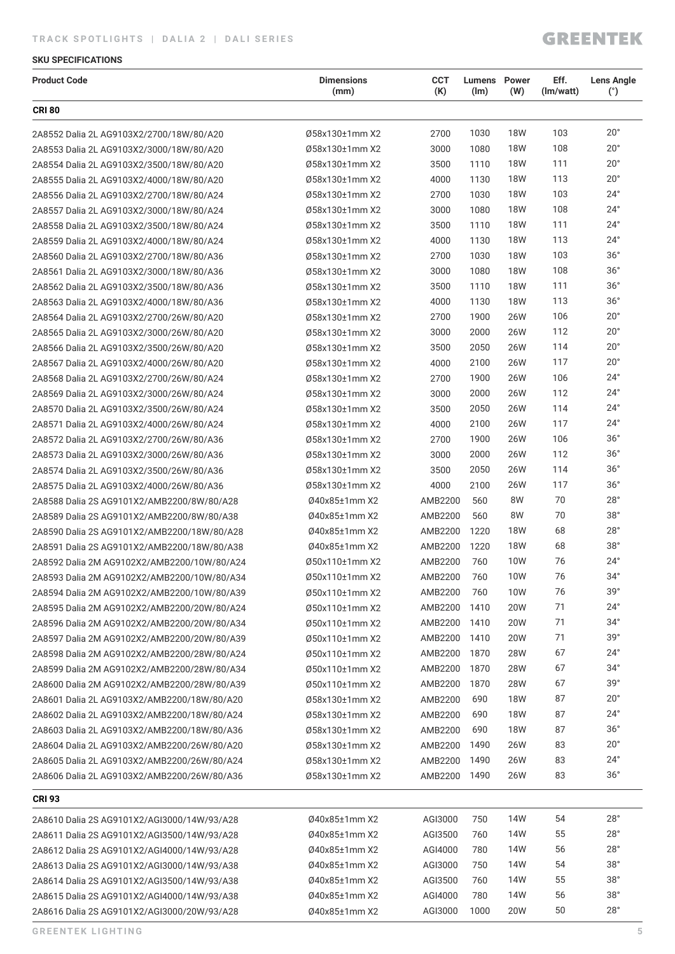#### **TRACK SPOTLIGHTS | DALIA 2 | DALI SERIES**

### **GREENTEK**

#### **SKU SPECIFICATIONS**

| <b>Product Code</b>                         | <b>Dimensions</b><br>(mm) | <b>CCT</b><br>(K) | <b>Lumens</b> Power<br>(lm) | (W)        | Eff.<br>(lm/watt) | <b>Lens Angle</b><br>(°) |
|---------------------------------------------|---------------------------|-------------------|-----------------------------|------------|-------------------|--------------------------|
| <b>CRI 80</b>                               |                           |                   |                             |            |                   |                          |
| 2A8552 Dalia 2L AG9103X2/2700/18W/80/A20    | Ø58x130±1mm X2            | 2700              | 1030                        | <b>18W</b> | 103               | $20^{\circ}$             |
| 2A8553 Dalia 2L AG9103X2/3000/18W/80/A20    | Ø58x130±1mm X2            | 3000              | 1080                        | <b>18W</b> | 108               | $20^{\circ}$             |
| 2A8554 Dalia 2L AG9103X2/3500/18W/80/A20    | Ø58x130±1mm X2            | 3500              | 1110                        | <b>18W</b> | 111               | $20^{\circ}$             |
| 2A8555 Dalia 2L AG9103X2/4000/18W/80/A20    | Ø58x130±1mm X2            | 4000              | 1130                        | <b>18W</b> | 113               | $20^{\circ}$             |
| 2A8556 Dalia 2L AG9103X2/2700/18W/80/A24    | Ø58x130±1mm X2            | 2700              | 1030                        | <b>18W</b> | 103               | $24^{\circ}$             |
| 2A8557 Dalia 2L AG9103X2/3000/18W/80/A24    | Ø58x130±1mm X2            | 3000              | 1080                        | <b>18W</b> | 108               | $24^{\circ}$             |
| 2A8558 Dalia 2L AG9103X2/3500/18W/80/A24    | Ø58x130±1mm X2            | 3500              | 1110                        | <b>18W</b> | 111               | $24^{\circ}$             |
| 2A8559 Dalia 2L AG9103X2/4000/18W/80/A24    | Ø58x130±1mm X2            | 4000              | 1130                        | <b>18W</b> | 113               | $24^{\circ}$             |
| 2A8560 Dalia 2L AG9103X2/2700/18W/80/A36    | Ø58x130±1mm X2            | 2700              | 1030                        | <b>18W</b> | 103               | 36°                      |
| 2A8561 Dalia 2L AG9103X2/3000/18W/80/A36    | Ø58x130±1mm X2            | 3000              | 1080                        | <b>18W</b> | 108               | 36°                      |
| 2A8562 Dalia 2L AG9103X2/3500/18W/80/A36    | Ø58x130±1mm X2            | 3500              | 1110                        | <b>18W</b> | 111               | 36°                      |
| 2A8563 Dalia 2L AG9103X2/4000/18W/80/A36    | Ø58x130±1mm X2            | 4000              | 1130                        | <b>18W</b> | 113               | 36°                      |
| 2A8564 Dalia 2L AG9103X2/2700/26W/80/A20    | Ø58x130±1mm X2            | 2700              | 1900                        | <b>26W</b> | 106               | $20^{\circ}$             |
| 2A8565 Dalia 2L AG9103X2/3000/26W/80/A20    | Ø58x130±1mm X2            | 3000              | 2000                        | 26W        | 112               | $20^{\circ}$             |
| 2A8566 Dalia 2L AG9103X2/3500/26W/80/A20    | Ø58x130±1mm X2            | 3500              | 2050                        | 26W        | 114               | $20^{\circ}$             |
| 2A8567 Dalia 2L AG9103X2/4000/26W/80/A20    | Ø58x130±1mm X2            | 4000              | 2100                        | 26W        | 117               | $20^{\circ}$             |
| 2A8568 Dalia 2L AG9103X2/2700/26W/80/A24    | Ø58x130±1mm X2            | 2700              | 1900                        | 26W        | 106               | $24^{\circ}$             |
| 2A8569 Dalia 2L AG9103X2/3000/26W/80/A24    | Ø58x130±1mm X2            | 3000              | 2000                        | 26W        | 112               | $24^{\circ}$             |
| 2A8570 Dalia 2L AG9103X2/3500/26W/80/A24    | Ø58x130±1mm X2            | 3500              | 2050                        | 26W        | 114               | $24^{\circ}$             |
| 2A8571 Dalia 2L AG9103X2/4000/26W/80/A24    | Ø58x130±1mm X2            | 4000              | 2100                        | 26W        | 117               | $24^{\circ}$             |
| 2A8572 Dalia 2L AG9103X2/2700/26W/80/A36    | Ø58x130±1mm X2            | 2700              | 1900                        | <b>26W</b> | 106               | 36°                      |
| 2A8573 Dalia 2L AG9103X2/3000/26W/80/A36    | Ø58x130±1mm X2            | 3000              | 2000                        | 26W        | 112               | 36°                      |
| 2A8574 Dalia 2L AG9103X2/3500/26W/80/A36    | Ø58x130±1mm X2            | 3500              | 2050                        | 26W        | 114               | 36°                      |
| 2A8575 Dalia 2L AG9103X2/4000/26W/80/A36    | Ø58x130±1mm X2            | 4000              | 2100                        | 26W        | 117               | 36°                      |
| 2A8588 Dalia 2S AG9101X2/AMB2200/8W/80/A28  | Ø40x85±1mm X2             | AMB2200           | 560                         | 8W         | 70                | 28°                      |
| 2A8589 Dalia 2S AG9101X2/AMB2200/8W/80/A38  | Ø40x85±1mm X2             | AMB2200           | 560                         | 8W         | 70                | 38°                      |
| 2A8590 Dalia 2S AG9101X2/AMB2200/18W/80/A28 | Ø40x85±1mm X2             | AMB2200           | 1220                        | <b>18W</b> | 68                | 28°                      |
| 2A8591 Dalia 2S AG9101X2/AMB2200/18W/80/A38 | Ø40x85±1mm X2             | AMB2200           | 1220                        | <b>18W</b> | 68                | 38°                      |
| 2A8592 Dalia 2M AG9102X2/AMB2200/10W/80/A24 | Ø50x110±1mm X2            | AMB2200           | 760                         | <b>10W</b> | 76                | $24^{\circ}$             |
| 2A8593 Dalia 2M AG9102X2/AMB2200/10W/80/A34 | Ø50x110±1mm X2            | AMB2200 760       |                             | 10W        | 76                | $34^\circ$               |
| 2A8594 Dalia 2M AG9102X2/AMB2200/10W/80/A39 | Ø50x110±1mm X2            | AMB2200           | 760                         | 10W        | 76                | $39^{\circ}$             |
| 2A8595 Dalia 2M AG9102X2/AMB2200/20W/80/A24 | Ø50x110±1mm X2            | AMB2200           | 1410                        | <b>20W</b> | 71                | $24^{\circ}$             |
| 2A8596 Dalia 2M AG9102X2/AMB2200/20W/80/A34 | Ø50x110±1mm X2            | AMB2200           | 1410                        | 20W        | 71                | 34°                      |
| 2A8597 Dalia 2M AG9102X2/AMB2200/20W/80/A39 | Ø50x110±1mm X2            | AMB2200           | 1410                        | 20W        | 71                | $39^{\circ}$             |
| 2A8598 Dalia 2M AG9102X2/AMB2200/28W/80/A24 | Ø50x110±1mm X2            | AMB2200           | 1870                        | 28W        | 67                | $24^{\circ}$             |
| 2A8599 Dalia 2M AG9102X2/AMB2200/28W/80/A34 | Ø50x110±1mm X2            | AMB2200           | 1870                        | <b>28W</b> | 67                | $34^\circ$               |
| 2A8600 Dalia 2M AG9102X2/AMB2200/28W/80/A39 | Ø50x110±1mm X2            | AMB2200           | 1870                        | <b>28W</b> | 67                | 39°                      |
| 2A8601 Dalia 2L AG9103X2/AMB2200/18W/80/A20 | Ø58x130±1mm X2            | AMB2200           | 690                         | <b>18W</b> | 87                | $20^{\circ}$             |
| 2A8602 Dalia 2L AG9103X2/AMB2200/18W/80/A24 | Ø58x130±1mm X2            | AMB2200           | 690                         | <b>18W</b> | 87                | $24^{\circ}$             |
| 2A8603 Dalia 2L AG9103X2/AMB2200/18W/80/A36 | Ø58x130±1mm X2            | AMB2200           | 690                         | <b>18W</b> | 87                | $36^{\circ}$             |
| 2A8604 Dalia 2L AG9103X2/AMB2200/26W/80/A20 | Ø58x130±1mm X2            | AMB2200           | 1490                        | 26W        | 83                | $20^{\circ}$             |
| 2A8605 Dalia 2L AG9103X2/AMB2200/26W/80/A24 | Ø58x130±1mm X2            | AMB2200           | 1490                        | 26W        | 83                | $24^{\circ}$             |
| 2A8606 Dalia 2L AG9103X2/AMB2200/26W/80/A36 | Ø58x130±1mm X2            | AMB2200 1490      |                             | 26W        | 83                | $36^{\circ}$             |
| <b>CRI 93</b>                               |                           |                   |                             |            |                   |                          |
| 2A8610 Dalia 2S AG9101X2/AGI3000/14W/93/A28 | Ø40x85±1mm X2             | AGI3000           | 750                         | 14W        | 54                | $28^\circ$               |
| 2A8611 Dalia 2S AG9101X2/AGI3500/14W/93/A28 | Ø40x85±1mm X2             | AGI3500           | 760                         | 14W        | 55                | $28^\circ$               |
| 2A8612 Dalia 2S AG9101X2/AGI4000/14W/93/A28 | Ø40x85±1mm X2             | AGI4000           | 780                         | 14W        | 56                | $28^{\circ}$             |
| 2A8613 Dalia 2S AG9101X2/AGI3000/14W/93/A38 | Ø40x85±1mm X2             | AGI3000           | 750                         | 14W        | 54                | 38°                      |
| 2A8614 Dalia 2S AG9101X2/AGI3500/14W/93/A38 | Ø40x85±1mm X2             | AGI3500           | 760                         | 14W        | 55                | 38°                      |
| 2A8615 Dalia 2S AG9101X2/AGI4000/14W/93/A38 | Ø40x85±1mm X2             | AGI4000           | 780                         | 14W        | 56                | 38°                      |
| 2A8616 Dalia 2S AG9101X2/AGI3000/20W/93/A28 | Ø40x85±1mm X2             | AGI3000           | 1000                        | 20W        | 50                | $28^{\circ}$             |